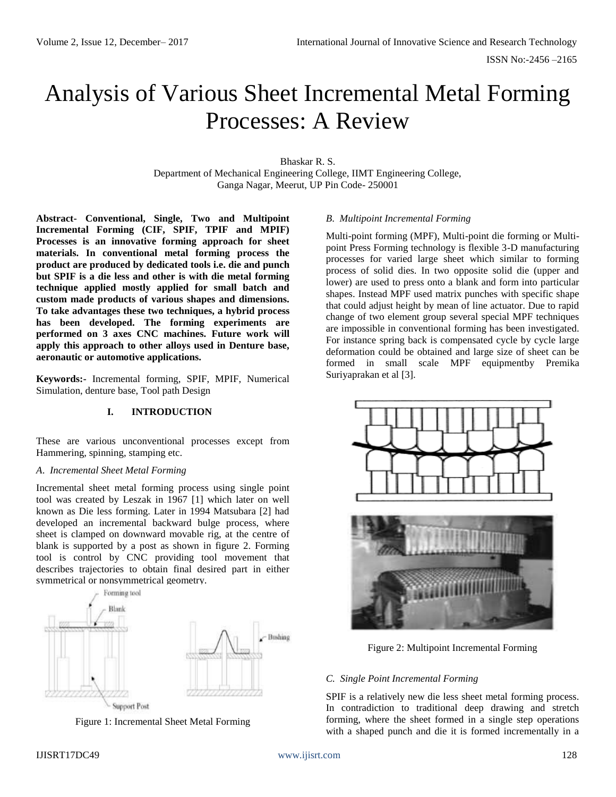# Analysis of Various Sheet Incremental Metal Forming Processes: A Review

Bhaskar R. S. Department of Mechanical Engineering College, IIMT Engineering College, Ganga Nagar, Meerut, UP Pin Code- 250001

**Abstract- Conventional, Single, Two and Multipoint Incremental Forming (CIF, SPIF, TPIF and MPIF) Processes is an innovative forming approach for sheet materials. In conventional metal forming process the product are produced by dedicated tools i.e. die and punch but SPIF is a die less and other is with die metal forming technique applied mostly applied for small batch and custom made products of various shapes and dimensions. To take advantages these two techniques, a hybrid process has been developed. The forming experiments are performed on 3 axes CNC machines. Future work will apply this approach to other alloys used in Denture base, aeronautic or automotive applications.**

**Keywords:-** Incremental forming, SPIF, MPIF, Numerical Simulation, denture base, Tool path Design

### **I. INTRODUCTION**

These are various unconventional processes except from Hammering, spinning, stamping etc.

### *A*. *Incremental Sheet Metal Forming*

Incremental sheet metal forming process using single point tool was created by Leszak in 1967 [1] which later on well known as Die less forming. Later in 1994 Matsubara [2] had developed an incremental backward bulge process, where sheet is clamped on downward movable rig, at the centre of blank is supported by a post as shown in figure 2. Forming tool is control by CNC providing tool movement that describes trajectories to obtain final desired part in either symmetrical or nonsymmetrical geometry.





### IJISRT17DC49 [www.ijisrt.com](http://www.ijisrt.com/) 128

## *B*. *Multipoint Incremental Forming*

Multi-point forming (MPF), Multi-point die forming or Multipoint Press Forming technology is flexible 3-D manufacturing processes for varied large sheet which similar to forming process of solid dies. In two opposite solid die (upper and lower) are used to press onto a blank and form into particular shapes. Instead MPF used matrix punches with specific shape that could adjust height by mean of line actuator. Due to rapid change of two element group several special MPF techniques are impossible in conventional forming has been investigated. For instance spring back is compensated cycle by cycle large deformation could be obtained and large size of sheet can be formed in small scale MPF equipmentby Premika Suriyaprakan et al [3].



Figure 2: Multipoint Incremental Forming

## *C. Single Point Incremental Forming*

SPIF is a relatively new die less sheet metal forming process. In contradiction to traditional deep drawing and stretch forming, where the sheet formed in a single step operations with a shaped punch and die it is formed incrementally in a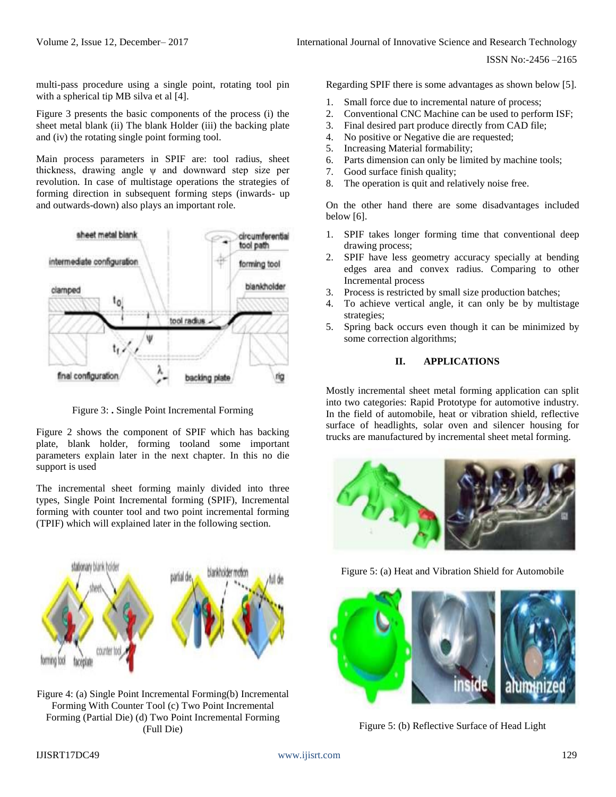multi-pass procedure using a single point, rotating tool pin with a spherical tip MB silva et al [4].

Figure 3 presents the basic components of the process (i) the sheet metal blank (ii) The blank Holder (iii) the backing plate and (iv) the rotating single point forming tool.

Main process parameters in SPIF are: tool radius, sheet thickness, drawing angle ψ and downward step size per revolution. In case of multistage operations the strategies of forming direction in subsequent forming steps (inwards- up and outwards-down) also plays an important role.



Figure 3: **.** Single Point Incremental Forming

Figure 2 shows the component of SPIF which has backing plate, blank holder, forming tooland some important parameters explain later in the next chapter. In this no die support is used

The incremental sheet forming mainly divided into three types, Single Point Incremental forming (SPIF), Incremental forming with counter tool and two point incremental forming (TPIF) which will explained later in the following section.



Figure 4: (a) Single Point Incremental Forming(b) Incremental Forming With Counter Tool (c) Two Point Incremental Forming (Partial Die) (d) Two Point Incremental Forming (Full Die)

Regarding SPIF there is some advantages as shown below [5].

- 1. Small force due to incremental nature of process;
- 2. Conventional CNC Machine can be used to perform ISF;
- 3. Final desired part produce directly from CAD file;
- 4. No positive or Negative die are requested;
- 5. Increasing Material formability;
- 6. Parts dimension can only be limited by machine tools;
- 7. Good surface finish quality;
- 8. The operation is quit and relatively noise free.

On the other hand there are some disadvantages included below [6].

- 1. SPIF takes longer forming time that conventional deep drawing process;
- 2. SPIF have less geometry accuracy specially at bending edges area and convex radius. Comparing to other Incremental process
- 3. Process is restricted by small size production batches;
- 4. To achieve vertical angle, it can only be by multistage strategies;
- 5. Spring back occurs even though it can be minimized by some correction algorithms;

## **II. APPLICATIONS**

Mostly incremental sheet metal forming application can split into two categories: Rapid Prototype for automotive industry. In the field of automobile, heat or vibration shield, reflective surface of headlights, solar oven and silencer housing for trucks are manufactured by incremental sheet metal forming.



Figure 5: (a) Heat and Vibration Shield for Automobile



Figure 5: (b) Reflective Surface of Head Light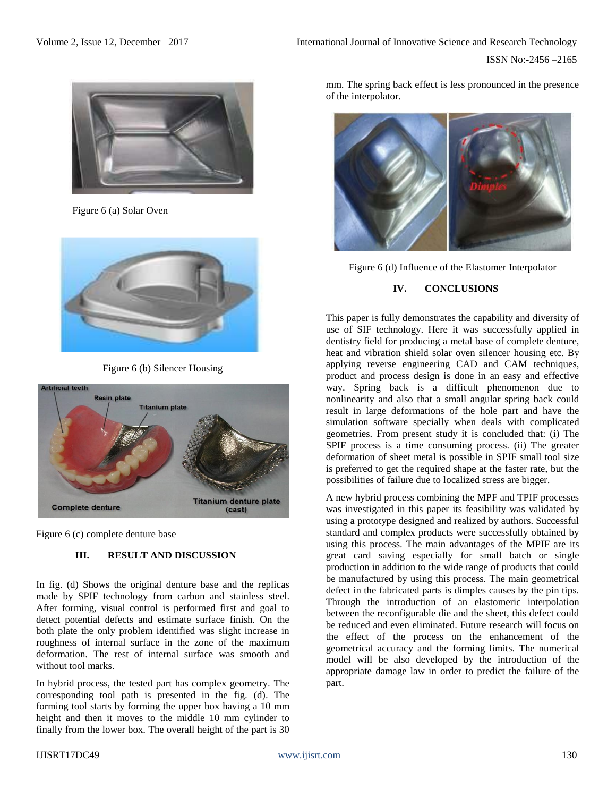

Figure 6 (a) Solar Oven



Figure 6 (b) Silencer Housing



Figure 6 (c) complete denture base

## **III. RESULT AND DISCUSSION**

In fig. (d) Shows the original denture base and the replicas made by SPIF technology from carbon and stainless steel. After forming, visual control is performed first and goal to detect potential defects and estimate surface finish. On the both plate the only problem identified was slight increase in roughness of internal surface in the zone of the maximum deformation. The rest of internal surface was smooth and without tool marks.

In hybrid process, the tested part has complex geometry. The corresponding tool path is presented in the fig. (d). The forming tool starts by forming the upper box having a 10 mm height and then it moves to the middle 10 mm cylinder to finally from the lower box. The overall height of the part is 30

mm. The spring back effect is less pronounced in the presence of the interpolator.



Figure 6 (d) Influence of the Elastomer Interpolator

## **IV. CONCLUSIONS**

This paper is fully demonstrates the capability and diversity of use of SIF technology. Here it was successfully applied in dentistry field for producing a metal base of complete denture, heat and vibration shield solar oven silencer housing etc. By applying reverse engineering CAD and CAM techniques, product and process design is done in an easy and effective way. Spring back is a difficult phenomenon due to nonlinearity and also that a small angular spring back could result in large deformations of the hole part and have the simulation software specially when deals with complicated geometries. From present study it is concluded that: (i) The SPIF process is a time consuming process. (ii) The greater deformation of sheet metal is possible in SPIF small tool size is preferred to get the required shape at the faster rate, but the possibilities of failure due to localized stress are bigger.

A new hybrid process combining the MPF and TPIF processes was investigated in this paper its feasibility was validated by using a prototype designed and realized by authors. Successful standard and complex products were successfully obtained by using this process. The main advantages of the MPIF are its great card saving especially for small batch or single production in addition to the wide range of products that could be manufactured by using this process. The main geometrical defect in the fabricated parts is dimples causes by the pin tips. Through the introduction of an elastomeric interpolation between the reconfigurable die and the sheet, this defect could be reduced and even eliminated. Future research will focus on the effect of the process on the enhancement of the geometrical accuracy and the forming limits. The numerical model will be also developed by the introduction of the appropriate damage law in order to predict the failure of the part.